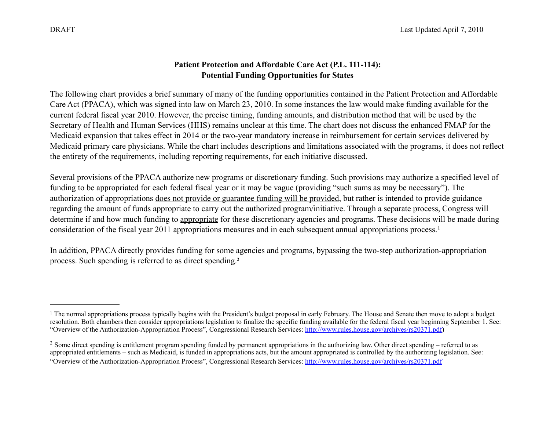# **Patient Protection and Affordable Care Act (P.L. 111-114): Potential Funding Opportunities for States**

The following chart provides a brief summary of many of the funding opportunities contained in the Patient Protection and Affordable Care Act (PPACA), which was signed into law on March 23, 2010. In some instances the law would make funding available for the current federal fiscal year 2010. However, the precise timing, funding amounts, and distribution method that will be used by the Secretary of Health and Human Services (HHS) remains unclear at this time. The chart does not discuss the enhanced FMAP for the Medicaid expansion that takes effect in 2014 or the two-year mandatory increase in reimbursement for certain services delivered by Medicaid primary care physicians. While the chart includes descriptions and limitations associated with the programs, it does not reflect the entirety of the requirements, including reporting requirements, for each initiative discussed.

Several provisions of the PPACA authorize new programs or discretionary funding. Such provisions may authorize a specified level of funding to be appropriated for each federal fiscal year or it may be vague (providing "such sums as may be necessary"). The authorization of appropriations does not provide or guarantee funding will be provided, but rather is intended to provide guidance regarding the amount of funds appropriate to carry out the authorized program/initiative. Through a separate process, Congress will determine if and how much funding to appropriate for these discretionary agencies and programs. These decisions will be made during consideration of the fiscal year 2011 appropriations measures and in each subsequent annual appropriations process.[1](#page-0-0) 

In addition, PPACA directly provides funding for some agencies and programs, bypassing the two-step authorization-appropriation process. Such spending is referred to as direct spending.**[2](#page-0-1)**

<span id="page-0-0"></span><sup>&</sup>lt;sup>1</sup> The normal appropriations process typically begins with the President's budget proposal in early February. The House and Senate then move to adopt a budget resolution. Both chambers then consider appropriations legislation to finalize the specific funding available for the federal fiscal year beginning September 1. See: "Overview of the Authorization-Appropriation Process", Congressional Research Services:<http://www.rules.house.gov/archives/rs20371.pdf>)

<span id="page-0-1"></span><sup>&</sup>lt;sup>2</sup> Some direct spending is entitlement program spending funded by permanent appropriations in the authorizing law. Other direct spending – referred to as appropriated entitlements – such as Medicaid, is funded in appropriations acts, but the amount appropriated is controlled by the authorizing legislation. See: "Overview of the Authorization-Appropriation Process", Congressional Research Services:<http://www.rules.house.gov/archives/rs20371.pdf>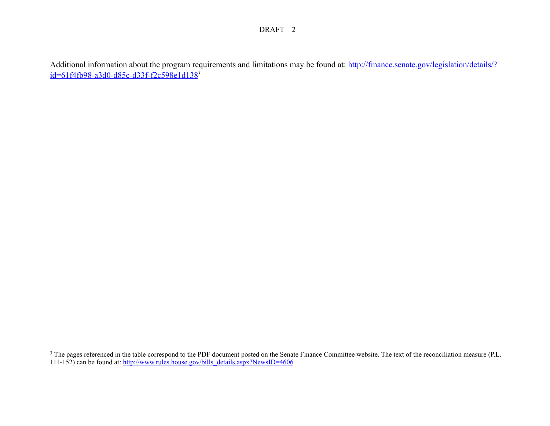Additional information about the program requirements and limitations may be found at: [http://finance.senate.gov/legislation/details/?](http://finance.senate.gov/legislation/details/?id=61f4fb98-a3d0-d85c-d33f-f2c598e1d138) [id=61f4fb98-a3d0-d85c-d33f-f2c598e1d138](http://finance.senate.gov/legislation/details/?id=61f4fb98-a3d0-d85c-d33f-f2c598e1d138)[3](#page-1-0)

<span id="page-1-0"></span><sup>&</sup>lt;sup>3</sup> The pages referenced in the table correspond to the PDF document posted on the Senate Finance Committee website. The text of the reconciliation measure (P.L. 111-152) can be found at: [http://www.rules.house.gov/bills\\_details.aspx?NewsID=4606](http://www.rules.house.gov/bills_details.aspx?NewsID=4606)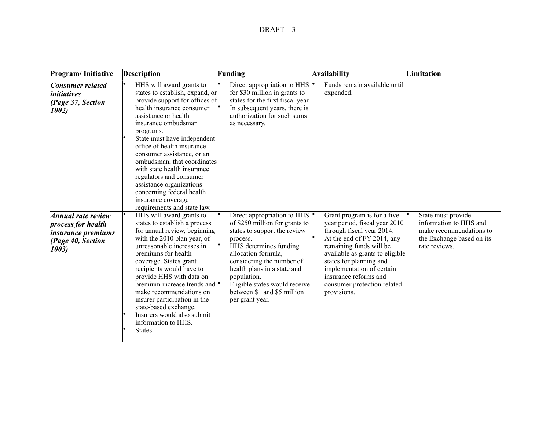| Program/Initiative                                                                                  | <b>Description</b>                                                                                                                                                                                                                                                                                                                                                                                                                                                                       | Funding                                                                                                                                                                                                                                                                                                                                      | Availability                                                                                                                                                                                                                                                                                                         | Limitation                                                                                                            |
|-----------------------------------------------------------------------------------------------------|------------------------------------------------------------------------------------------------------------------------------------------------------------------------------------------------------------------------------------------------------------------------------------------------------------------------------------------------------------------------------------------------------------------------------------------------------------------------------------------|----------------------------------------------------------------------------------------------------------------------------------------------------------------------------------------------------------------------------------------------------------------------------------------------------------------------------------------------|----------------------------------------------------------------------------------------------------------------------------------------------------------------------------------------------------------------------------------------------------------------------------------------------------------------------|-----------------------------------------------------------------------------------------------------------------------|
| <b>Consumer related</b><br><i>initiatives</i><br>(Page 37, Section<br>1002)                         | HHS will award grants to<br>states to establish, expand, or<br>provide support for offices of<br>health insurance consumer<br>assistance or health<br>insurance ombudsman<br>programs.<br>State must have independent<br>office of health insurance<br>consumer assistance, or an<br>ombudsman, that coordinates<br>with state health insurance<br>regulators and consumer<br>assistance organizations<br>concerning federal health<br>insurance coverage<br>requirements and state law. | Direct appropriation to HHS $\vert \cdot \vert$<br>for \$30 million in grants to<br>states for the first fiscal year.<br>In subsequent years, there is<br>authorization for such sums<br>as necessary.                                                                                                                                       | Funds remain available until<br>expended.                                                                                                                                                                                                                                                                            |                                                                                                                       |
| Annual rate review<br>process for health<br><i>insurance premiums</i><br>(Page 40, Section<br>1003) | HHS will award grants to<br>states to establish a process<br>for annual review, beginning<br>with the 2010 plan year, of<br>unreasonable increases in<br>premiums for health<br>coverage. States grant<br>recipients would have to<br>provide HHS with data on<br>premium increase trends and  <br>make recommendations on<br>insurer participation in the<br>state-based exchange.<br>Insurers would also submit<br>information to HHS.<br><b>States</b>                                | Direct appropriation to HHS $\vert \cdot \vert$<br>of \$250 million for grants to<br>states to support the review<br>process.<br>HHS determines funding<br>allocation formula,<br>considering the number of<br>health plans in a state and<br>population.<br>Eligible states would receive<br>between \$1 and \$5 million<br>per grant year. | Grant program is for a five<br>year period, fiscal year 2010<br>through fiscal year 2014.<br>At the end of FY 2014, any<br>remaining funds will be<br>available as grants to eligible<br>states for planning and<br>implementation of certain<br>insurance reforms and<br>consumer protection related<br>provisions. | State must provide<br>information to HHS and<br>make recommendations to<br>the Exchange based on its<br>rate reviews. |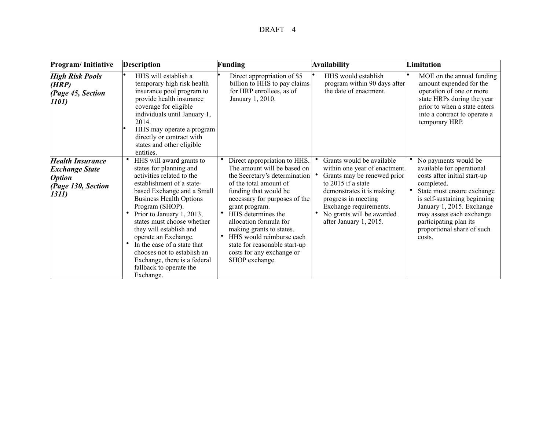| Program/Initiative                                                                                       | <b>Description</b>                                                                                                                                                                                                                                                                                                                                                                                                                                   | Funding                                                                                                                                                                                                                                                                                                                                                                                                 | <b>Availability</b>                                                                                                                                                                                                                                  | Limitation                                                                                                                                                                                                                                                                               |
|----------------------------------------------------------------------------------------------------------|------------------------------------------------------------------------------------------------------------------------------------------------------------------------------------------------------------------------------------------------------------------------------------------------------------------------------------------------------------------------------------------------------------------------------------------------------|---------------------------------------------------------------------------------------------------------------------------------------------------------------------------------------------------------------------------------------------------------------------------------------------------------------------------------------------------------------------------------------------------------|------------------------------------------------------------------------------------------------------------------------------------------------------------------------------------------------------------------------------------------------------|------------------------------------------------------------------------------------------------------------------------------------------------------------------------------------------------------------------------------------------------------------------------------------------|
| <b>High Risk Pools</b><br>(HRP)<br>(Page 45, Section<br>1101)                                            | HHS will establish a<br>temporary high risk health<br>insurance pool program to<br>provide health insurance<br>coverage for eligible<br>individuals until January 1,<br>2014.<br>HHS may operate a program<br>directly or contract with<br>states and other eligible<br>entities.                                                                                                                                                                    | Direct appropriation of \$5<br>billion to HHS to pay claims<br>for HRP enrollees, as of<br>January 1, 2010.                                                                                                                                                                                                                                                                                             | HHS would establish<br>program within 90 days after<br>the date of enactment.                                                                                                                                                                        | MOE on the annual funding<br>amount expended for the<br>operation of one or more<br>state HRPs during the year<br>prior to when a state enters<br>into a contract to operate a<br>temporary HRP.                                                                                         |
| <b>Health Insurance</b><br><b>Exchange State</b><br><i><b>Option</b></i><br>(Page 130, Section<br>[1311] | HHS will award grants to<br>states for planning and<br>activities related to the<br>establishment of a state-<br>based Exchange and a Small<br><b>Business Health Options</b><br>Program (SHOP).<br>Prior to January 1, 2013,<br>states must choose whether<br>they will establish and<br>operate an Exchange.<br>In the case of a state that<br>chooses not to establish an<br>Exchange, there is a federal<br>fallback to operate the<br>Exchange. | Direct appropriation to HHS.<br>The amount will be based on<br>the Secretary's determination<br>of the total amount of<br>funding that would be<br>necessary for purposes of the<br>grant program.<br>HHS determines the<br>$\bullet$<br>allocation formula for<br>making grants to states.<br>HHS would reimburse each<br>state for reasonable start-up<br>costs for any exchange or<br>SHOP exchange. | Grants would be available<br>within one year of enactment.<br>Grants may be renewed prior<br>to 2015 if a state<br>demonstrates it is making<br>progress in meeting<br>Exchange requirements.<br>No grants will be awarded<br>after January 1, 2015. | No payments would be<br>available for operational<br>costs after initial start-up<br>completed.<br>State must ensure exchange<br>is self-sustaining beginning<br>January 1, 2015. Exchange<br>may assess each exchange<br>participating plan its<br>proportional share of such<br>costs. |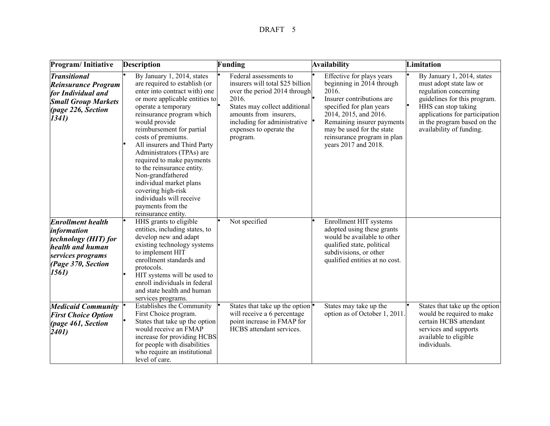| Program/Initiative                                                                                                                          | <b>Description</b>                                                                                                                                                                                                                                                                                                                                                                                                                                                                                                           | Funding                                                                                                                                                                                                                               | Availability                                                                                                                                                                                                                                                        | Limitation                                                                                                                                                                                                                         |
|---------------------------------------------------------------------------------------------------------------------------------------------|------------------------------------------------------------------------------------------------------------------------------------------------------------------------------------------------------------------------------------------------------------------------------------------------------------------------------------------------------------------------------------------------------------------------------------------------------------------------------------------------------------------------------|---------------------------------------------------------------------------------------------------------------------------------------------------------------------------------------------------------------------------------------|---------------------------------------------------------------------------------------------------------------------------------------------------------------------------------------------------------------------------------------------------------------------|------------------------------------------------------------------------------------------------------------------------------------------------------------------------------------------------------------------------------------|
| <i><b>Transitional</b></i><br><b>Reinsurance Program</b><br>for Individual and<br><b>Small Group Markets</b><br>(page 226, Section<br>1341) | By January 1, 2014, states<br>are required to establish (or<br>enter into contract with) one<br>or more applicable entities to<br>operate a temporary<br>reinsurance program which<br>would provide<br>reimbursement for partial<br>costs of premiums.<br>All insurers and Third Party<br>Administrators (TPAs) are<br>required to make payments<br>to the reinsurance entity.<br>Non-grandfathered<br>individual market plans<br>covering high-risk<br>individuals will receive<br>payments from the<br>reinsurance entity. | Federal assessments to<br>insurers will total \$25 billion<br>over the period 2014 through<br>2016.<br>States may collect additional<br>amounts from insurers,<br>including for administrative<br>expenses to operate the<br>program. | Effective for plays years<br>beginning in 2014 through<br>2016.<br>Insurer contributions are<br>specified for plan years<br>2014, 2015, and 2016.<br>Remaining insurer payments<br>may be used for the state<br>reinsurance program in plan<br>years 2017 and 2018. | By January 1, 2014, states<br>must adopt state law or<br>regulation concerning<br>guidelines for this program.<br>HHS can stop taking<br>applications for participation<br>in the program based on the<br>availability of funding. |
| <b>Enrollment health</b><br>information<br>technology (HIT) for<br>health and human<br>services programs<br>(Page 370, Section<br>1561)     | HHS grants to eligible<br>entities, including states, to<br>develop new and adapt<br>existing technology systems<br>to implement HIT<br>enrollment standards and<br>protocols.<br>HIT systems will be used to<br>enroll individuals in federal<br>and state health and human<br>services programs.                                                                                                                                                                                                                           | Not specified                                                                                                                                                                                                                         | Enrollment HIT systems<br>adopted using these grants<br>would be available to other<br>qualified state, political<br>subdivisions, or other<br>qualified entities at no cost.                                                                                       |                                                                                                                                                                                                                                    |
| <b>Medicaid Community</b><br><b>First Choice Option</b><br>(page 461, Section<br>2401)                                                      | <b>Establishes the Community</b><br>First Choice program.<br>States that take up the option<br>would receive an FMAP<br>increase for providing HCBS<br>for people with disabilities<br>who require an institutional<br>level of care.                                                                                                                                                                                                                                                                                        | States that take up the option<br>will receive a 6 percentage<br>point increase in FMAP for<br>HCBS attendant services.                                                                                                               | States may take up the<br>option as of October 1, 2011.                                                                                                                                                                                                             | States that take up the option<br>would be required to make<br>certain HCBS attendant<br>services and supports<br>available to eligible<br>individuals.                                                                            |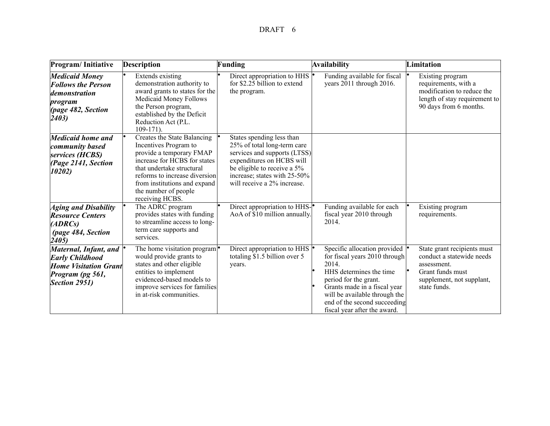| Program/Initiative                                                                                                     | <b>Description</b>                                                                                                                                                                                                                                        | Funding                                                                                                                                                                                                             | Availability                                                                                                                                                                                                                                                | Limitation                                                                                                                               |
|------------------------------------------------------------------------------------------------------------------------|-----------------------------------------------------------------------------------------------------------------------------------------------------------------------------------------------------------------------------------------------------------|---------------------------------------------------------------------------------------------------------------------------------------------------------------------------------------------------------------------|-------------------------------------------------------------------------------------------------------------------------------------------------------------------------------------------------------------------------------------------------------------|------------------------------------------------------------------------------------------------------------------------------------------|
| <b>Medicaid Money</b><br><b>Follows the Person</b><br>demonstration<br>program<br>(page 482, Section<br>(2403)         | Extends existing<br>demonstration authority to<br>award grants to states for the<br>Medicaid Money Follows<br>the Person program,<br>established by the Deficit<br>Reduction Act (P.L.<br>$109-171$ ).                                                    | Direct appropriation to HHS<br>for \$2.25 billion to extend<br>the program.                                                                                                                                         | Funding available for fiscal<br>years 2011 through 2016.                                                                                                                                                                                                    | Existing program<br>requirements, with a<br>modification to reduce the<br>length of stay requirement to<br>90 days from 6 months.        |
| Medicaid home and<br>community based<br>services (HCBS)<br>(Page 2141, Section<br>10202)                               | Creates the State Balancing<br>Incentives Program to<br>provide a temporary FMAP<br>increase for HCBS for states<br>that undertake structural<br>reforms to increase diversion<br>from institutions and expand<br>the number of people<br>receiving HCBS. | States spending less than<br>25% of total long-term care<br>services and supports (LTSS)<br>expenditures on HCBS will<br>be eligible to receive a 5%<br>increase; states with 25-50%<br>will receive a 2% increase. |                                                                                                                                                                                                                                                             |                                                                                                                                          |
| <b>Aging and Disability</b><br><b>Resource Centers</b><br>(ADRCs)<br>(page 484, Section<br>2405)                       | The ADRC program<br>provides states with funding<br>to streamline access to long-<br>term care supports and<br>services.                                                                                                                                  | Direct appropriation to HHS-<br>AoA of \$10 million annually.                                                                                                                                                       | Funding available for each<br>fiscal year 2010 through<br>2014.                                                                                                                                                                                             | Existing program<br>requirements.                                                                                                        |
| Maternal, Infant, and  <br><b>Early Childhood</b><br><b>Home Visitation Grant</b><br>Program (pg 561,<br>Section 2951) | The home visitation program $ {}$<br>would provide grants to<br>states and other eligible<br>entities to implement<br>evidenced-based models to<br>improve services for families<br>in at-risk communities.                                               | Direct appropriation to HHS<br>totaling \$1.5 billion over 5<br>years.                                                                                                                                              | Specific allocation provided<br>for fiscal years 2010 through<br>2014.<br>HHS determines the time<br>period for the grant.<br>Grants made in a fiscal year<br>will be available through the<br>end of the second succeeding<br>fiscal year after the award. | State grant recipients must<br>conduct a statewide needs<br>assessment.<br>Grant funds must<br>supplement, not supplant,<br>state funds. |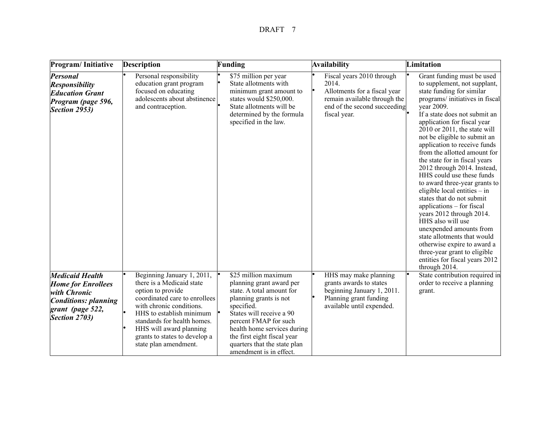| Program/Initiative                                                                                                                      | <b>Description</b>                                                                                                                                                                                                                                                                        | Funding                                                                                                                                                                                                                                                                                              | <b>Availability</b>                                                                                                                                | Limitation                                                                                                                                                                                                                                                                                                                                                                                                                                                                                                                                                                                                                                                                                                                                                                                     |
|-----------------------------------------------------------------------------------------------------------------------------------------|-------------------------------------------------------------------------------------------------------------------------------------------------------------------------------------------------------------------------------------------------------------------------------------------|------------------------------------------------------------------------------------------------------------------------------------------------------------------------------------------------------------------------------------------------------------------------------------------------------|----------------------------------------------------------------------------------------------------------------------------------------------------|------------------------------------------------------------------------------------------------------------------------------------------------------------------------------------------------------------------------------------------------------------------------------------------------------------------------------------------------------------------------------------------------------------------------------------------------------------------------------------------------------------------------------------------------------------------------------------------------------------------------------------------------------------------------------------------------------------------------------------------------------------------------------------------------|
| <b>Personal</b><br><b>Responsibility</b><br><b>Education Grant</b><br>Program (page 596,<br>Section 2953)                               | Personal responsibility<br>education grant program<br>focused on educating<br>adolescents about abstinence<br>and contraception.                                                                                                                                                          | \$75 million per year<br>State allotments with<br>minimum grant amount to<br>states would \$250,000.<br>State allotments will be<br>determined by the formula<br>specified in the law.                                                                                                               | Fiscal years 2010 through<br>2014.<br>Allotments for a fiscal year<br>remain available through the<br>end of the second succeeding<br>fiscal year. | Grant funding must be used<br>to supplement, not supplant,<br>state funding for similar<br>programs/initiatives in fiscal<br>year 2009.<br>If a state does not submit an<br>application for fiscal year<br>2010 or 2011, the state will<br>not be eligible to submit an<br>application to receive funds<br>from the allotted amount for<br>the state for in fiscal years<br>2012 through 2014. Instead,<br>HHS could use these funds<br>to award three-year grants to<br>eligible local entities $-$ in<br>states that do not submit<br>applications – for fiscal<br>years 2012 through 2014.<br>HHS also will use<br>unexpended amounts from<br>state allotments that would<br>otherwise expire to award a<br>three-year grant to eligible<br>entities for fiscal years 2012<br>through 2014. |
| <b>Medicaid Health</b><br><b>Home for Enrollees</b><br>with Chronic<br><b>Conditions: planning</b><br>grant (page 522,<br>Section 2703) | Beginning January 1, 2011,<br>there is a Medicaid state<br>option to provide<br>coordinated care to enrollees<br>with chronic conditions.<br>HHS to establish minimum<br>standards for health homes.<br>HHS will award planning<br>grants to states to develop a<br>state plan amendment. | $s25$ million maximum<br>planning grant award per<br>state. A total amount for<br>planning grants is not<br>specified.<br>States will receive a 90<br>percent FMAP for such<br>health home services during<br>the first eight fiscal year<br>quarters that the state plan<br>amendment is in effect. | HHS may make planning<br>grants awards to states<br>beginning January 1, 2011.<br>Planning grant funding<br>available until expended.              | State contribution required in<br>order to receive a planning<br>grant.                                                                                                                                                                                                                                                                                                                                                                                                                                                                                                                                                                                                                                                                                                                        |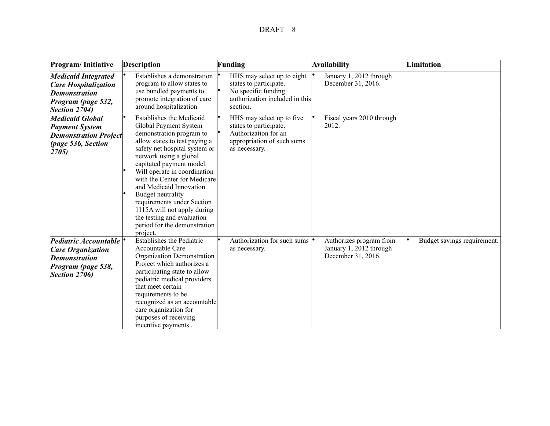| Program/Initiative                                                                                                       | <b>Description</b>                                                                                                                                                                                                                                                                                                                                                                                                                                                   | Funding                                                                                                                    | Availability                                                             | Limitation                  |
|--------------------------------------------------------------------------------------------------------------------------|----------------------------------------------------------------------------------------------------------------------------------------------------------------------------------------------------------------------------------------------------------------------------------------------------------------------------------------------------------------------------------------------------------------------------------------------------------------------|----------------------------------------------------------------------------------------------------------------------------|--------------------------------------------------------------------------|-----------------------------|
| <b>Medicaid Integrated</b><br><b>Care Hospitalization</b><br><b>Demonstration</b><br>Program (page 532,<br>Section 2704) | Establishes a demonstration<br>program to allow states to<br>use bundled payments to<br>promote integration of care<br>around hospitalization.                                                                                                                                                                                                                                                                                                                       | HHS may select up to eight<br>states to participate.<br>No specific funding<br>authorization included in this<br>section.  | January 1, 2012 through<br>December 31, 2016.                            |                             |
| <b>Medicaid Global</b><br><b>Payment System</b><br><b>Demonstration Project</b><br>(page 536, Section<br>2705)           | <b>Establishes the Medicaid</b><br>Global Payment System<br>demonstration program to<br>allow states to test paying a<br>safety net hospital system or<br>network using a global<br>capitated payment model.<br>Will operate in coordination<br>with the Center for Medicare<br>and Medicaid Innovation.<br>Budget neutrality<br>requirements under Section<br>1115A will not apply during<br>the testing and evaluation<br>period for the demonstration<br>project. | HHS may select up to five<br>states to participate.<br>Authorization for an<br>appropriation of such sums<br>as necessary. | Fiscal years 2010 through<br>2012.                                       |                             |
| Pediatric Accountable $ °$<br><b>Care Organization</b><br><b>Demonstration</b><br>Program (page 538,<br>Section 2706)    | <b>Establishes the Pediatric</b><br>Accountable Care<br>Organization Demonstration<br>Project which authorizes a<br>participating state to allow<br>pediatric medical providers<br>that meet certain<br>requirements to be<br>recognized as an accountable<br>care organization for<br>purposes of receiving<br>incentive payments.                                                                                                                                  | Authorization for such sums $  \cdot  $<br>as necessary.                                                                   | Authorizes program from<br>January 1, 2012 through<br>December 31, 2016. | Budget savings requirement. |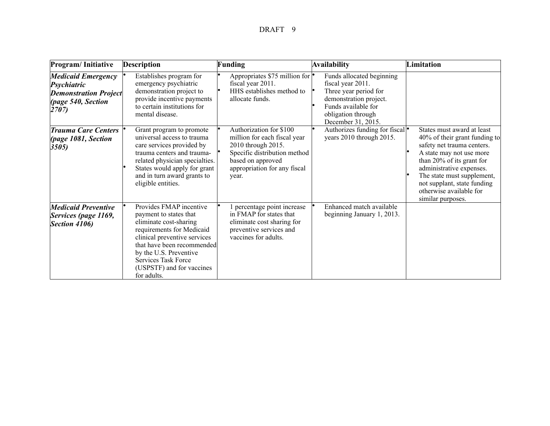| Program/Initiative                                                                                      | <b>Description</b>                                                                                                                                                                                                                                                  | Funding                                                                                                                                                                     | Availability                                                                                                                                                         | Limitation                                                                                                                                                                                                                                                                                  |
|---------------------------------------------------------------------------------------------------------|---------------------------------------------------------------------------------------------------------------------------------------------------------------------------------------------------------------------------------------------------------------------|-----------------------------------------------------------------------------------------------------------------------------------------------------------------------------|----------------------------------------------------------------------------------------------------------------------------------------------------------------------|---------------------------------------------------------------------------------------------------------------------------------------------------------------------------------------------------------------------------------------------------------------------------------------------|
| <b>Medicaid Emergency</b><br>Psychiatric<br><b>Demonstration Project</b><br>(page 540, Section<br>2707) | Establishes program for<br>emergency psychiatric<br>demonstration project to<br>provide incentive payments<br>to certain institutions for<br>mental disease.                                                                                                        | Appropriates \$75 million for<br>fiscal year 2011.<br>HHS establishes method to<br>allocate funds.                                                                          | Funds allocated beginning<br>fiscal year 2011.<br>Three year period for<br>demonstration project.<br>Funds available for<br>obligation through<br>December 31, 2015. |                                                                                                                                                                                                                                                                                             |
| <b>Trauma Care Centers</b><br>(page 1081, Section<br>3505)                                              | Grant program to promote<br>universal access to trauma<br>care services provided by<br>trauma centers and trauma-<br>related physician specialties.<br>States would apply for grant<br>and in turn award grants to<br>eligible entities.                            | Authorization for \$100<br>million for each fiscal year<br>2010 through 2015.<br>Specific distribution method<br>based on approved<br>appropriation for any fiscal<br>year. | Authorizes funding for fiscal <sup>•</sup><br>years 2010 through 2015.                                                                                               | States must award at least<br>40% of their grant funding to<br>safety net trauma centers.<br>A state may not use more<br>than 20% of its grant for<br>administrative expenses.<br>The state must supplement,<br>not supplant, state funding<br>otherwise available for<br>similar purposes. |
| <b>Medicaid Preventive</b><br>Services (page 1169,<br>Section 4106)                                     | Provides FMAP incentive<br>payment to states that<br>eliminate cost-sharing<br>requirements for Medicaid<br>clinical preventive services<br>that have been recommended<br>by the U.S. Preventive<br>Services Task Force<br>(USPSTF) and for vaccines<br>for adults. | percentage point increase<br>in FMAP for states that<br>eliminate cost sharing for<br>preventive services and<br>vaccines for adults.                                       | Enhanced match available<br>beginning January 1, 2013.                                                                                                               |                                                                                                                                                                                                                                                                                             |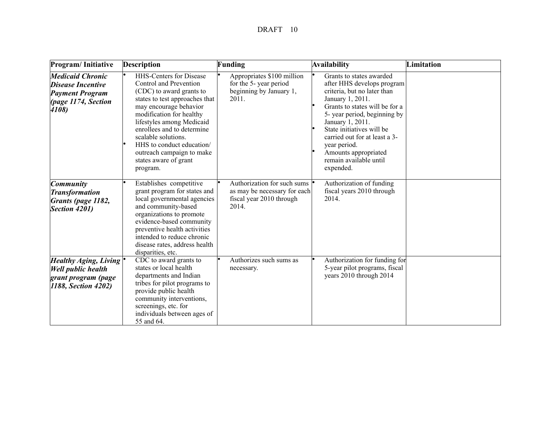| Program/Initiative                                                                                            | <b>Description</b>                                                                                                                                                                                                                                                                                                                                            | Funding                                                                                          | Availability                                                                                                                                                                                                                                                                                                                                | Limitation |
|---------------------------------------------------------------------------------------------------------------|---------------------------------------------------------------------------------------------------------------------------------------------------------------------------------------------------------------------------------------------------------------------------------------------------------------------------------------------------------------|--------------------------------------------------------------------------------------------------|---------------------------------------------------------------------------------------------------------------------------------------------------------------------------------------------------------------------------------------------------------------------------------------------------------------------------------------------|------------|
| <b>Medicaid Chronic</b><br><b>Disease Incentive</b><br><b>Payment Program</b><br>(page 1174, Section<br>4108) | <b>HHS-Centers for Disease</b><br>Control and Prevention<br>(CDC) to award grants to<br>states to test approaches that<br>may encourage behavior<br>modification for healthy<br>lifestyles among Medicaid<br>enrollees and to determine<br>scalable solutions.<br>HHS to conduct education/<br>outreach campaign to make<br>states aware of grant<br>program. | Appropriates \$100 million<br>for the 5-year period<br>beginning by January 1,<br>2011.          | Grants to states awarded<br>after HHS develops program<br>criteria, but no later than<br>January 1, 2011.<br>Grants to states will be for a<br>5-year period, beginning by<br>January 1, 2011.<br>State initiatives will be<br>carried out for at least a 3-<br>year period.<br>Amounts appropriated<br>remain available until<br>expended. |            |
| <b>Community</b><br><b>Transformation</b><br>Grants (page 1182,<br>Section 4201)                              | Establishes competitive<br>grant program for states and<br>local governmental agencies<br>and community-based<br>organizations to promote<br>evidence-based community<br>preventive health activities<br>intended to reduce chronic<br>disease rates, address health<br>disparities, etc.                                                                     | Authorization for such sums<br>as may be necessary for each<br>fiscal year 2010 through<br>2014. | Authorization of funding<br>fiscal years 2010 through<br>2014.                                                                                                                                                                                                                                                                              |            |
| Healthy Aging, Living $\cdot$<br><b>Well public health</b><br>grant program (page<br>1188, Section 4202)      | CDC to award grants to<br>states or local health<br>departments and Indian<br>tribes for pilot programs to<br>provide public health<br>community interventions,<br>screenings, etc. for<br>individuals between ages of<br>55 and 64.                                                                                                                          | Authorizes such sums as<br>necessary.                                                            | Authorization for funding for<br>5-year pilot programs, fiscal<br>years 2010 through 2014                                                                                                                                                                                                                                                   |            |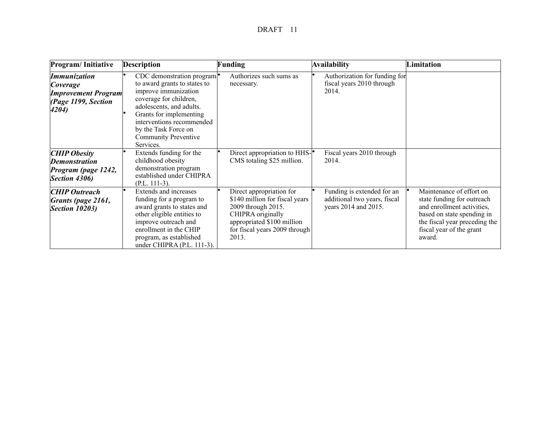| Program/Initiative                                                                     | <b>Description</b>                                                                                                                                                                                                                                                            | Funding                                                                                                                                                                       | Availability                                                                       | Limitation                                                                                                                                                                                |
|----------------------------------------------------------------------------------------|-------------------------------------------------------------------------------------------------------------------------------------------------------------------------------------------------------------------------------------------------------------------------------|-------------------------------------------------------------------------------------------------------------------------------------------------------------------------------|------------------------------------------------------------------------------------|-------------------------------------------------------------------------------------------------------------------------------------------------------------------------------------------|
| Immunization<br>Coverage<br><b>Improvement Program</b><br>(Page 1199, Section<br>4204) | CDC demonstration program $\bullet$<br>to award grants to states to<br>improve immunization<br>coverage for children,<br>adolescents, and adults.<br>Grants for implementing<br>interventions recommended<br>by the Task Force on<br><b>Community Preventive</b><br>Services. | Authorizes such sums as<br>necessary.                                                                                                                                         | Authorization for funding for<br>fiscal years 2010 through<br>2014.                |                                                                                                                                                                                           |
| <b>CHIP Obesity</b><br><b>Demonstration</b><br>Program (page 1242,<br>Section 4306)    | Extends funding for the<br>childhood obesity<br>demonstration program<br>established under CHIPRA<br>$(P.L. 111-3).$                                                                                                                                                          | Direct appropriation to HHS-<br>CMS totaling \$25 million.                                                                                                                    | Fiscal years 2010 through<br>2014.                                                 |                                                                                                                                                                                           |
| <b>CHIP Outreach</b><br>Grants (page 2161,<br><b>Section 10203)</b>                    | Extends and increases<br>funding for a program to<br>award grants to states and<br>other eligible entities to<br>improve outreach and<br>enrollment in the CHIP<br>program, as established<br>under CHIPRA (P.L. 111-3).                                                      | Direct appropriation for<br>\$140 million for fiscal years<br>2009 through 2015.<br>CHIPRA originally<br>appropriated \$100 million<br>for fiscal years 2009 through<br>2013. | Funding is extended for an<br>additional two years, fiscal<br>years 2014 and 2015. | Maintenance of effort on<br>state funding for outreach<br>and enrollment activities,<br>based on state spending in<br>the fiscal year preceding the<br>fiscal year of the grant<br>award. |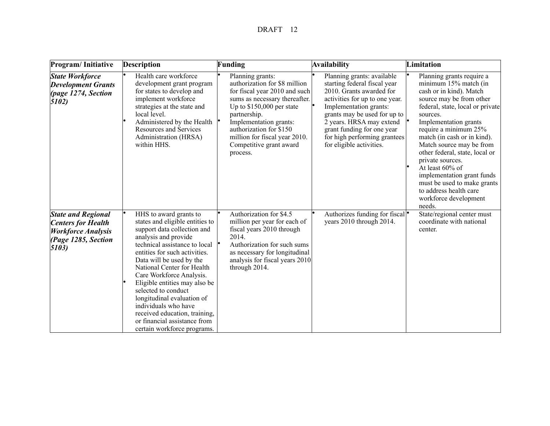| Program/Initiative                                                                                                  | <b>Description</b>                                                                                                                                                                                                                                                                                                                                                                                                                                                                     | Funding                                                                                                                                                                                                                                                                                        | Availability                                                                                                                                                                                                                                                                                             | Limitation                                                                                                                                                                                                                                                                                                                                                                                                                                                                |
|---------------------------------------------------------------------------------------------------------------------|----------------------------------------------------------------------------------------------------------------------------------------------------------------------------------------------------------------------------------------------------------------------------------------------------------------------------------------------------------------------------------------------------------------------------------------------------------------------------------------|------------------------------------------------------------------------------------------------------------------------------------------------------------------------------------------------------------------------------------------------------------------------------------------------|----------------------------------------------------------------------------------------------------------------------------------------------------------------------------------------------------------------------------------------------------------------------------------------------------------|---------------------------------------------------------------------------------------------------------------------------------------------------------------------------------------------------------------------------------------------------------------------------------------------------------------------------------------------------------------------------------------------------------------------------------------------------------------------------|
| <b>State Workforce</b><br><b>Development Grants</b><br>page 1274, Section<br>5102)                                  | Health care workforce<br>development grant program<br>for states to develop and<br>implement workforce<br>strategies at the state and<br>local level.<br>Administered by the Health<br><b>Resources and Services</b><br>Administration (HRSA)<br>within HHS.                                                                                                                                                                                                                           | Planning grants:<br>authorization for \$8 million<br>for fiscal year 2010 and such<br>sums as necessary thereafter.<br>Up to $$150,000$ per state<br>partnership.<br>Implementation grants:<br>authorization for \$150<br>million for fiscal year 2010.<br>Competitive grant award<br>process. | Planning grants: available<br>starting federal fiscal year<br>2010. Grants awarded for<br>activities for up to one year.<br>Implementation grants:<br>grants may be used for up to<br>2 years. HRSA may extend<br>grant funding for one year<br>for high performing grantees<br>for eligible activities. | Planning grants require a<br>minimum 15% match (in<br>cash or in kind). Match<br>source may be from other<br>federal, state, local or private<br>sources.<br>Implementation grants<br>require a minimum 25%<br>match (in cash or in kind).<br>Match source may be from<br>other federal, state, local or<br>private sources.<br>At least 60% of<br>implementation grant funds<br>must be used to make grants<br>to address health care<br>workforce development<br>needs. |
| <b>State and Regional</b><br><b>Centers for Health</b><br><b>Workforce Analysis</b><br>(Page 1285, Section<br>5103) | HHS to award grants to<br>states and eligible entities to<br>support data collection and<br>analysis and provide<br>technical assistance to local<br>entities for such activities.<br>Data will be used by the<br>National Center for Health<br>Care Workforce Analysis.<br>Eligible entities may also be<br>selected to conduct<br>longitudinal evaluation of<br>individuals who have<br>received education, training,<br>or financial assistance from<br>certain workforce programs. | Authorization for \$4.5<br>million per year for each of<br>fiscal years 2010 through<br>2014.<br>Authorization for such sums<br>as necessary for longitudinal<br>analysis for fiscal years 2010<br>through 2014.                                                                               | Authorizes funding for fiscal $\bullet$<br>years 2010 through 2014.                                                                                                                                                                                                                                      | State/regional center must<br>coordinate with national<br>center.                                                                                                                                                                                                                                                                                                                                                                                                         |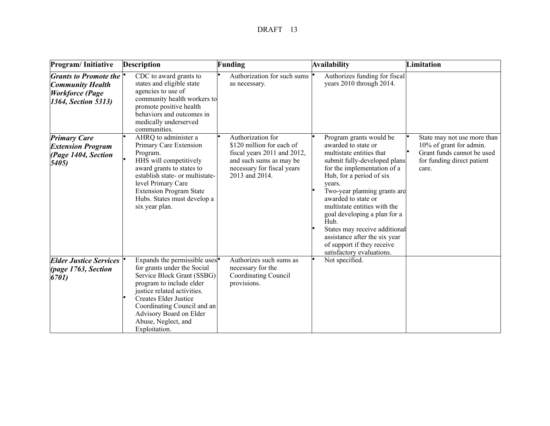| Program/Initiative                                                                                              | <b>Description</b>                                                                                                                                                                                                                                                                        | Funding                                                                                                                                                  | Availability                                                                                                                                                                                                                                                                                                                                                                                                                                | Limitation                                                                                                                  |
|-----------------------------------------------------------------------------------------------------------------|-------------------------------------------------------------------------------------------------------------------------------------------------------------------------------------------------------------------------------------------------------------------------------------------|----------------------------------------------------------------------------------------------------------------------------------------------------------|---------------------------------------------------------------------------------------------------------------------------------------------------------------------------------------------------------------------------------------------------------------------------------------------------------------------------------------------------------------------------------------------------------------------------------------------|-----------------------------------------------------------------------------------------------------------------------------|
| <i>Grants to Promote the</i> $\mid$<br><b>Community Health</b><br><b>Workforce</b> (Page<br>1364, Section 5313) | CDC to award grants to<br>states and eligible state<br>agencies to use of<br>community health workers to<br>promote positive health<br>behaviors and outcomes in<br>medically underserved<br>communities.                                                                                 | Authorization for such sums<br>as necessary.                                                                                                             | Authorizes funding for fiscal<br>years 2010 through 2014.                                                                                                                                                                                                                                                                                                                                                                                   |                                                                                                                             |
| <b>Primary Care</b><br><b>Extension Program</b><br>(Page 1404, Section<br>5405                                  | AHRQ to administer a<br>Primary Care Extension<br>Program.<br>HHS will competitively<br>award grants to states to<br>establish state- or multistate-<br>level Primary Care<br><b>Extension Program State</b><br>Hubs. States must develop a<br>six year plan.                             | Authorization for<br>\$120 million for each of<br>fiscal years 2011 and 2012,<br>and such sums as may be<br>necessary for fiscal years<br>2013 and 2014. | Program grants would be<br>awarded to state or<br>multistate entities that<br>submit fully-developed plans<br>for the implementation of a<br>Hub, for a period of six<br>years.<br>Two-year planning grants are<br>awarded to state or<br>multistate entities with the<br>goal developing a plan for a<br>Hub.<br>States may receive additional<br>assistance after the six year<br>of support if they receive<br>satisfactory evaluations. | State may not use more than<br>10% of grant for admin.<br>Grant funds cannot be used<br>for funding direct patient<br>care. |
| <b>Elder Justice Services</b><br>(page 1763, Section<br>6701)                                                   | Expands the permissible uses $\bullet$<br>for grants under the Social<br>Service Block Grant (SSBG)<br>program to include elder<br>justice related activities.<br>Creates Elder Justice<br>Coordinating Council and an<br>Advisory Board on Elder<br>Abuse, Neglect, and<br>Exploitation. | Authorizes such sums as<br>necessary for the<br><b>Coordinating Council</b><br>provisions.                                                               | Not specified.                                                                                                                                                                                                                                                                                                                                                                                                                              |                                                                                                                             |